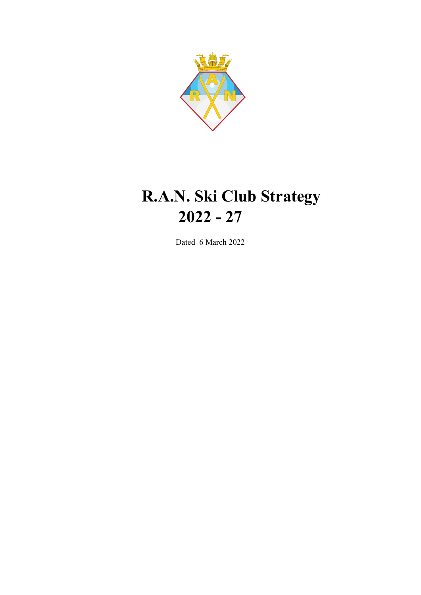

# **R.A.N. Ski Club Strategy 2022 - 27**

Dated 6 March 2022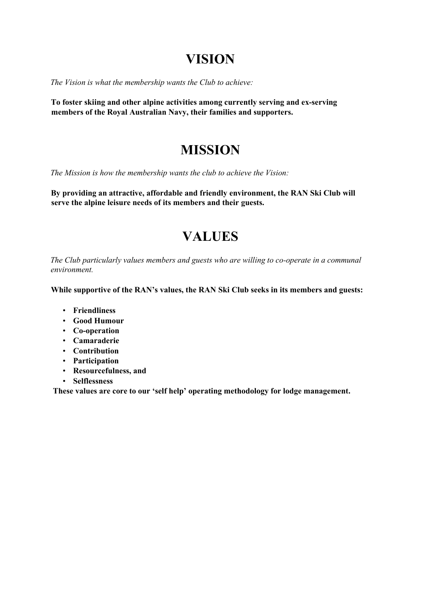## **VISION**

*The Vision is what the membership wants the Club to achieve:* 

**To foster skiing and other alpine activities among currently serving and ex-serving members of the Royal Australian Navy, their families and supporters.** 

## **MISSION**

*The Mission is how the membership wants the club to achieve the Vision:* 

**By providing an attractive, affordable and friendly environment, the RAN Ski Club will serve the alpine leisure needs of its members and their guests.** 

# **VALUES**

*The Club particularly values members and guests who are willing to co-operate in a communal environment.* 

**While supportive of the RAN's values, the RAN Ski Club seeks in its members and guests:** 

- **Friendliness**
- **Good Humour**
- **Co-operation**
- **Camaraderie**
- **Contribution**
- **Participation**
- **Resourcefulness, and**
- **Selflessness**

**These values are core to our 'self help' operating methodology for lodge management.**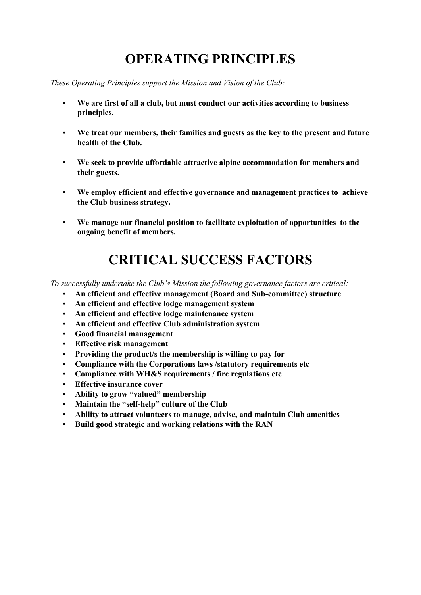# **OPERATING PRINCIPLES**

*These Operating Principles support the Mission and Vision of the Club:* 

- **We are first of all a club, but must conduct our activities according to business principles.**
- **We treat our members, their families and guests as the key to the present and future health of the Club.**
- **We seek to provide affordable attractive alpine accommodation for members and their guests.**
- **We employ efficient and effective governance and management practices to achieve the Club business strategy.**
- **We manage our financial position to facilitate exploitation of opportunities to the ongoing benefit of members.**

# **CRITICAL SUCCESS FACTORS**

*To successfully undertake the Club's Mission the following governance factors are critical:* 

- **An efficient and effective management (Board and Sub-committee) structure**
- **An efficient and effective lodge management system**
- **An efficient and effective lodge maintenance system**
- **An efficient and effective Club administration system**
- **Good financial management**
- **Effective risk management**
- **Providing the product/s the membership is willing to pay for**
- **Compliance with the Corporations laws /statutory requirements etc**
- **Compliance with WH&S requirements / fire regulations etc**
- **Effective insurance cover**
- **Ability to grow "valued" membership**
- **Maintain the "self-help" culture of the Club**
- **Ability to attract volunteers to manage, advise, and maintain Club amenities**
- **Build good strategic and working relations with the RAN**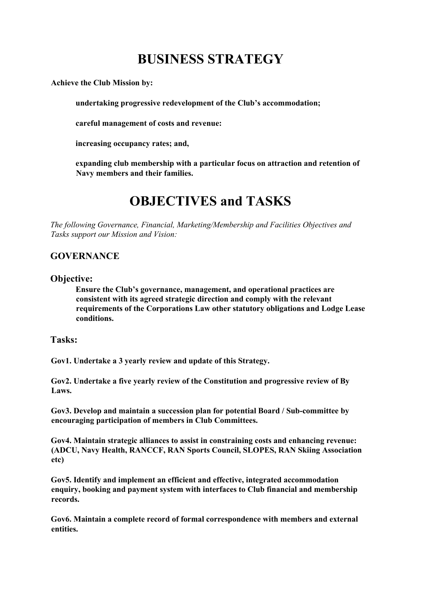# **BUSINESS STRATEGY**

**Achieve the Club Mission by:** 

**undertaking progressive redevelopment of the Club's accommodation;** 

**careful management of costs and revenue:** 

**increasing occupancy rates; and,** 

**expanding club membership with a particular focus on attraction and retention of Navy members and their families.** 

## **OBJECTIVES and TASKS**

*The following Governance, Financial, Marketing/Membership and Facilities Objectives and Tasks support our Mission and Vision:* 

### **GOVERNANCE**

#### **Objective:**

**Ensure the Club's governance, management, and operational practices are consistent with its agreed strategic direction and comply with the relevant requirements of the Corporations Law other statutory obligations and Lodge Lease conditions.** 

#### **Tasks:**

**Gov1. Undertake a 3 yearly review and update of this Strategy.** 

**Gov2. Undertake a five yearly review of the Constitution and progressive review of By Laws.** 

**Gov3. Develop and maintain a succession plan for potential Board / Sub-committee by encouraging participation of members in Club Committees.** 

**Gov4. Maintain strategic alliances to assist in constraining costs and enhancing revenue: (ADCU, Navy Health, RANCCF, RAN Sports Council, SLOPES, RAN Skiing Association etc)** 

**Gov5. Identify and implement an efficient and effective, integrated accommodation enquiry, booking and payment system with interfaces to Club financial and membership records.** 

**Gov6. Maintain a complete record of formal correspondence with members and external entities.**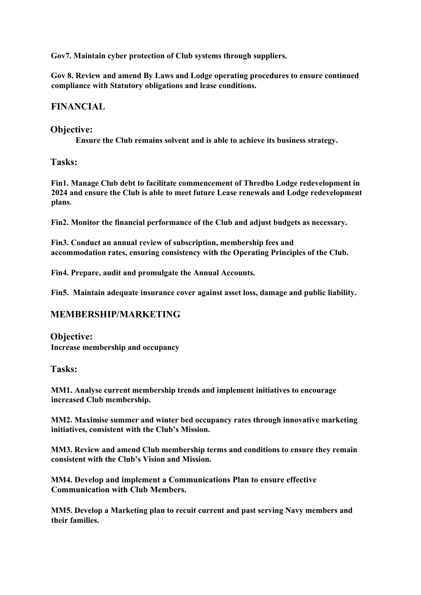**Gov7. Maintain cyber protection of Club systems through suppliers.** 

**Gov 8. Review and amend By Laws and Lodge operating procedures to ensure continued compliance with Statutory obligations and lease conditions.**

### **FINANCIAL**

#### **Objective:**

**Ensure the Club remains solvent and is able to achieve its business strategy.** 

**Tasks:** 

**Fin1. Manage Club debt to facilitate commencement of Thredbo Lodge redevelopment in 2024 and ensure the Club is able to meet future Lease renewals and Lodge redevelopment plans.**

**Fin2. Monitor the financial performance of the Club and adjust budgets as necessary.** 

**Fin3. Conduct an annual review of subscription, membership fees and accommodation rates, ensuring consistency with the Operating Principles of the Club.**

**Fin4. Prepare, audit and promulgate the Annual Accounts.** 

**Fin5. Maintain adequate insurance cover against asset loss, damage and public liability.** 

### **MEMBERSHIP/MARKETING**

**Objective: Increase membership and occupancy** 

#### **Tasks:**

**MM1. Analyse current membership trends and implement initiatives to encourage increased Club membership.** 

**MM2. Maximise summer and winter bed occupancy rates through innovative marketing initiatives, consistent with the Club's Mission.** 

**MM3. Review and amend Club membership terms and conditions to ensure they remain consistent with the Club's Vision and Mission.** 

**MM4. Develop and implement a Communications Plan to ensure effective Communication with Club Members.** 

**MM5. Develop a Marketing plan to recuit current and past serving Navy members and their families.**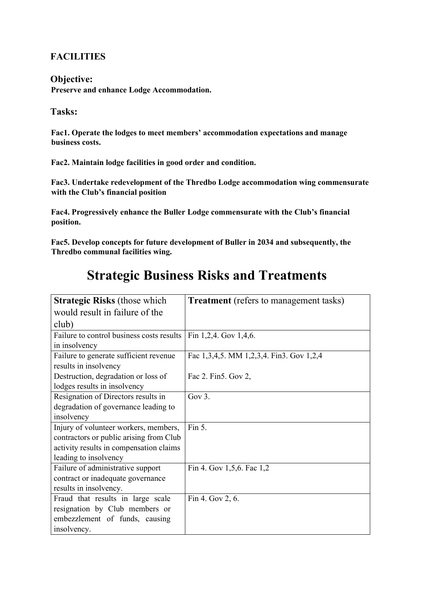### **FACILITIES**

#### **Objective:**

**Preserve and enhance Lodge Accommodation.** 

### **Tasks:**

**Fac1. Operate the lodges to meet members' accommodation expectations and manage business costs.** 

**Fac2. Maintain lodge facilities in good order and condition.** 

**Fac3. Undertake redevelopment of the Thredbo Lodge accommodation wing commensurate with the Club's financial position** 

**Fac4. Progressively enhance the Buller Lodge commensurate with the Club's financial position.** 

**Fac5. Develop concepts for future development of Buller in 2034 and subsequently, the Thredbo communal facilities wing.** 

| <b>Strategic Risks (those which</b>       | <b>Treatment</b> (refers to management tasks) |
|-------------------------------------------|-----------------------------------------------|
| would result in failure of the            |                                               |
| club)                                     |                                               |
| Failure to control business costs results | Fin 1,2,4. Gov 1,4,6.                         |
| in insolvency                             |                                               |
| Failure to generate sufficient revenue    | Fac 1,3,4,5. MM 1,2,3,4. Fin3. Gov 1,2,4      |
| results in insolvency                     |                                               |
| Destruction, degradation or loss of       | Fac 2. Fin5. Gov 2,                           |
| lodges results in insolvency              |                                               |
| Resignation of Directors results in       | Gov $3.$                                      |
| degradation of governance leading to      |                                               |
| insolvency                                |                                               |
| Injury of volunteer workers, members,     | Fin 5.                                        |
| contractors or public arising from Club   |                                               |
| activity results in compensation claims   |                                               |
| leading to insolvency                     |                                               |
| Failure of administrative support         | Fin 4. Gov 1,5,6. Fac 1,2                     |
| contract or inadequate governance         |                                               |
| results in insolvency.                    |                                               |
| Fraud that results in large scale         | Fin 4. Gov 2, 6.                              |
| resignation by Club members or            |                                               |
| embezzlement of funds, causing            |                                               |
| insolvency.                               |                                               |

### **Strategic Business Risks and Treatments**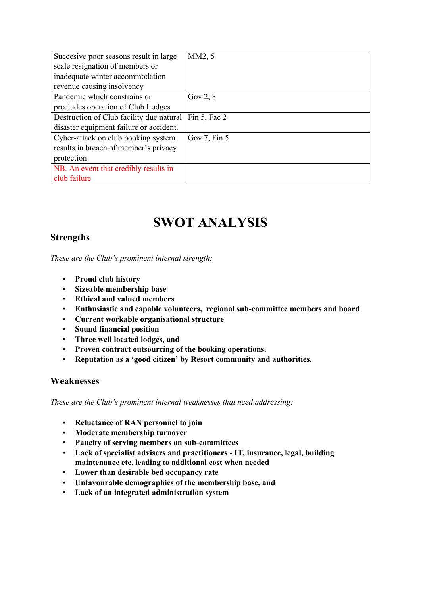| Succesive poor seasons result in large   | MM2, 5            |
|------------------------------------------|-------------------|
| scale resignation of members or          |                   |
| inadequate winter accommodation          |                   |
| revenue causing insolvency               |                   |
| Pandemic which constrains or             | Gov $2, 8$        |
| precludes operation of Club Lodges       |                   |
| Destruction of Club facility due natural | Fin $5$ , Fac $2$ |
| disaster equipment failure or accident.  |                   |
| Cyber-attack on club booking system      | Gov 7, Fin 5      |
| results in breach of member's privacy    |                   |
| protection                               |                   |
| NB. An event that credibly results in    |                   |
| club failure                             |                   |

# **SWOT ANALYSIS**

### **Strengths**

*These are the Club's prominent internal strength:* 

- **Proud club history**
- **Sizeable membership base**
- **Ethical and valued members**
- **Enthusiastic and capable volunteers, regional sub-committee members and board**
- **Current workable organisational structure**
- **Sound financial position**
- **Three well located lodges, and**
- **Proven contract outsourcing of the booking operations.**
- **Reputation as a 'good citizen' by Resort community and authorities.**

#### **Weaknesses**

*These are the Club's prominent internal weaknesses that need addressing:* 

- **Reluctance of RAN personnel to join**
- **Moderate membership turnover**
- **Paucity of serving members on sub-committees**
- **Lack of specialist advisers and practitioners - IT, insurance, legal, building maintenance etc, leading to additional cost when needed**
- **Lower than desirable bed occupancy rate**
- **Unfavourable demographics of the membership base, and**
- **Lack of an integrated administration system**